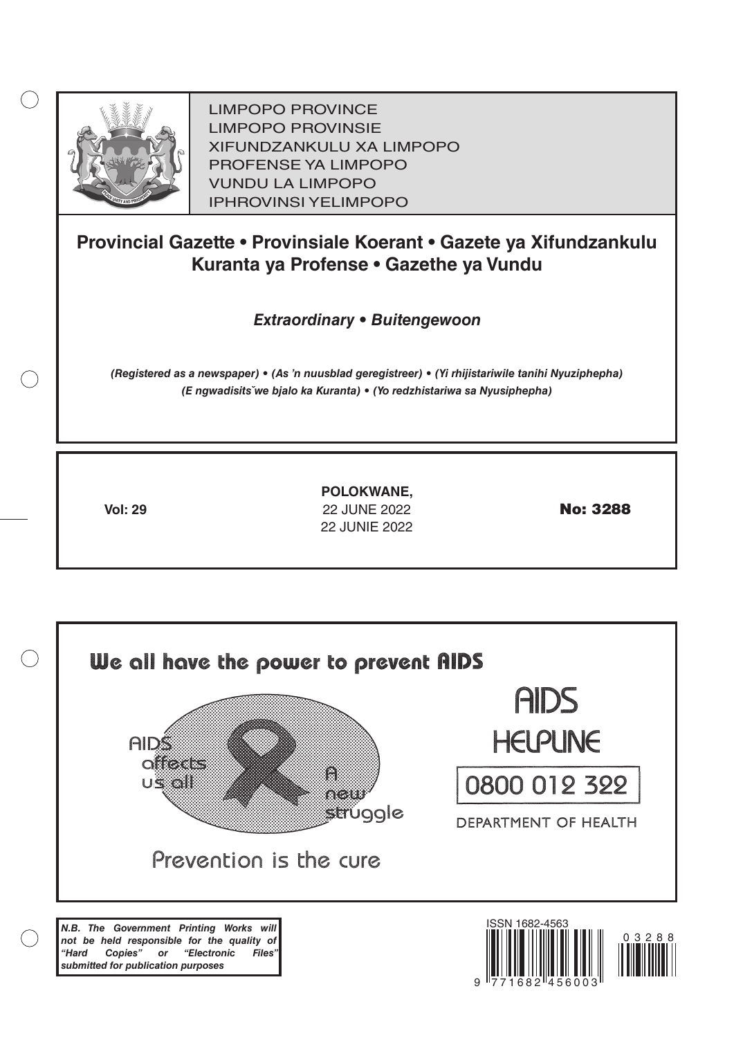

LIMPOPO PROVINCE LIMPOPO PROVINSIE XIFUNDZANKULU XA LIMPOPO PROFENSE YA LIMPOPO VUNDU LA LIMPOPO IPHROVINSI YELIMPOPO

# **Provincial Gazette • Provinsiale Koerant • Gazete ya Xifundzankulu Kuranta ya Profense • Gazethe ya Vundu**

*Extraordinary • Buitengewoon*

*(Registered as a newspaper) • (As 'n nuusblad geregistreer) • (Yi rhijistariwile tanihi Nyuziphepha) (E ngwadisitsˇwe bjalo ka Kuranta) • (Yo redzhistariwa sa Nyusiphepha)*

**Vol: 29 22 JUNE 2022 <b>No: 3288 POLOKWANE,** 22 Junie 2022

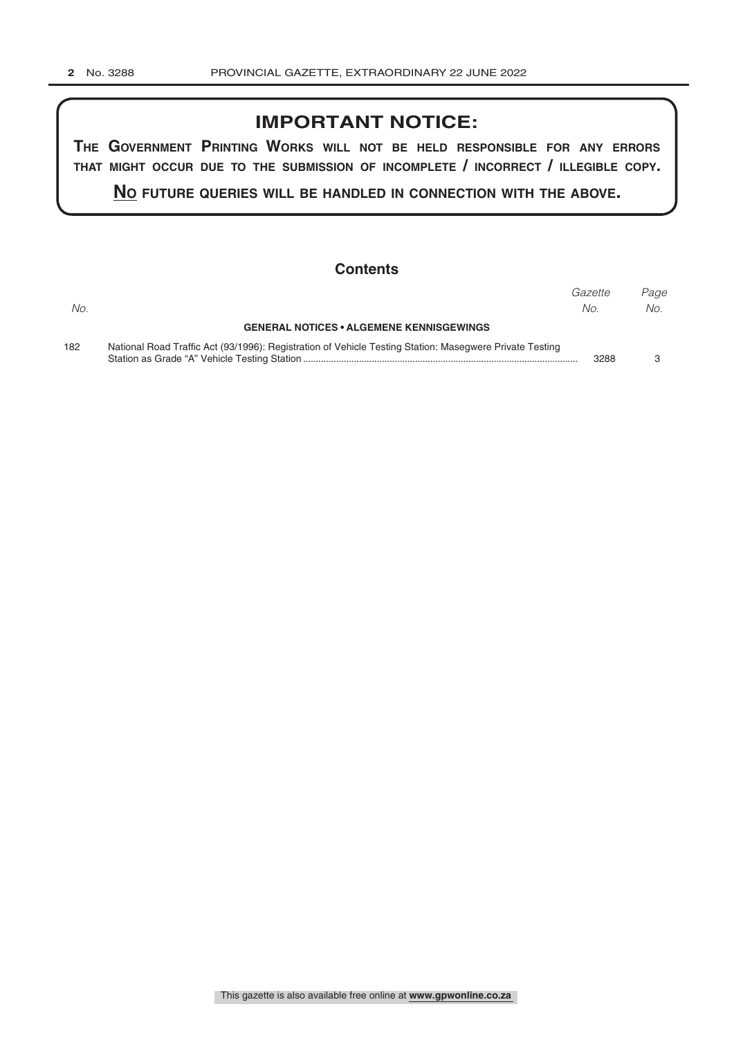# **IMPORTANT NOTICE:**

**The GovernmenT PrinTinG Works Will noT be held resPonsible for any errors ThaT miGhT occur due To The submission of incomPleTe / incorrecT / illeGible coPy.**

**no fuTure queries Will be handled in connecTion WiTh The above.**

### **Contents**

|     |                                                                                                         | Gazette | Paae |
|-----|---------------------------------------------------------------------------------------------------------|---------|------|
| No. |                                                                                                         | No.     | No.  |
|     | <b>GENERAL NOTICES • ALGEMENE KENNISGEWINGS</b>                                                         |         |      |
| 182 | National Road Traffic Act (93/1996): Registration of Vehicle Testing Station: Masegwere Private Testing |         |      |
|     |                                                                                                         | 3288    |      |

This gazette is also available free online at **www.gpwonline.co.za**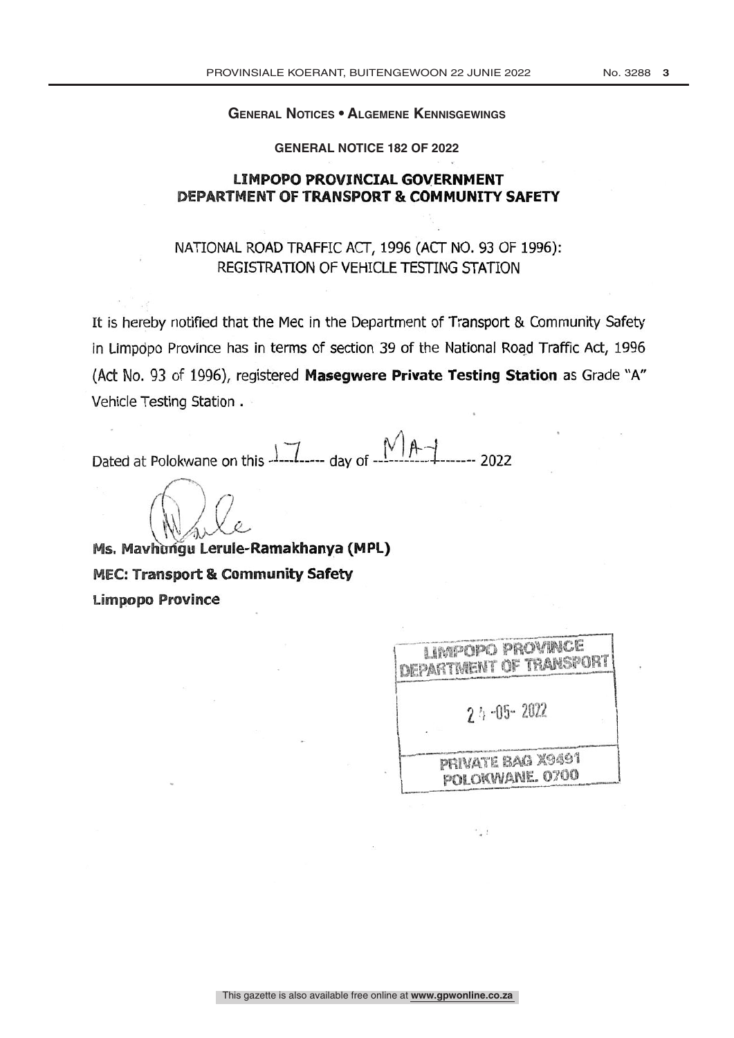#### **General Notices • Algemene Kennisgewings**

**GENERAL NOTICE 182 OF 2022**

### **LIMPOPO PROVINCIAL GOVERNMENT DEPARTMENT OF TRANSPORT & COMMUNITY SAFETY**

## NATIONAL ROAD TRAFFIC ACT, 1996 (ACT NO. 93 OF 1996): REGISTRATION OF VEHICLE TESTING STATION

It is hereby notified that the Mec in the Department of Transport & Community Safety in Limpopo Province has in terms of section 39 of the National Road Traffic Act, 1996 (Act No. 93 of 1996), registered Masegwere Private Testing Station as Grade "A" Vehicle Testing Station .

Dated at Polokwane on this  $\frac{1}{1}$  and the state of  $\frac{1}{1}$   $\frac{1}{1}$   $\frac{1}{1}$   $\frac{1}{1}$   $\frac{1}{2}$   $\frac{1}{2}$   $\frac{1}{2}$   $\frac{1}{2}$   $\frac{1}{2}$   $\frac{1}{2}$   $\frac{1}{2}$   $\frac{1}{2}$   $\frac{1}{2}$   $\frac{1}{2}$   $\frac{1}{2}$   $\frac{1}{2}$   $\frac{1}{2$ 

Ms. Mavhungu Lerule-Ramakhanya (MPL) **MEC: Transport & Community Safety Limpopo Province** 

| LIMPOPO PROVINCE<br>DEPARTMENT OF TRANSPORT |
|---------------------------------------------|
| $2.1 - 0.5 - 20.22$                         |
| PRIVATE BAG X9491<br>POLOKWANE, 0700        |

 $\cdot$  1